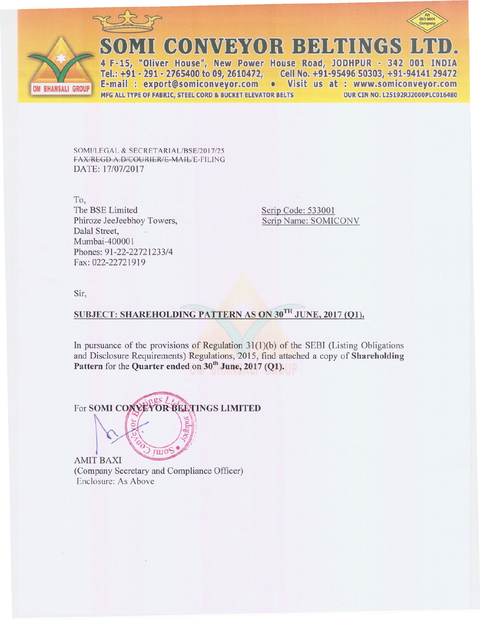



I CONVEYOR BELTINGS

4 F-15, "Oliver House", New Power House Road, JODHPUR - 342 001 INDIA Tel.: +91 - 291 - 2765400 to 09, 2610472, Cell No. +91-95496 50303, +91-94141 29472 E-mail: export@somiconveyor.com • Visit us at: www.somiconveyor.com MFG ALL TYPE OF FABRIC, STEEL CORD & BUCKET ELEVATOR BELTS **OUR CIN NO. L25192RJ2000PLC016480** 

SOMI/LEGAL & SECRETARIAL/BSE/2017/25 FAX/REGD.A.D/COURIER/E-MAIL/E-FILING DATE: 17/07/2017

To, The BSE Limited Phiroze JeeJeebhoy Towers, Dalal Street, Mumbai-400001 Phones: 91-22-22721233/4 Fax: 022-22721919

Scrip Code: 533001 Scrip Name: SOMICONV

Sir.

# SUBJECT: SHAREHOLDING PATTERN AS ON 30TH JUNE, 2017 (O1).

In pursuance of the provisions of Regulation  $31(1)(b)$  of the SEBI (Listing Obligations and Disclosure Requirements) Regulations, 2015, find attached a copy of Shareholding Pattern for the Quarter ended on 30<sup>th</sup> June, 2017 (O1).

 $\sigma s$  / For SOMI COXVEYOR BELTINGS LIMITED  $IUD$ **AMIT BAXI** 

(Company Secretary and Compliance Officer) Enclosure: As Above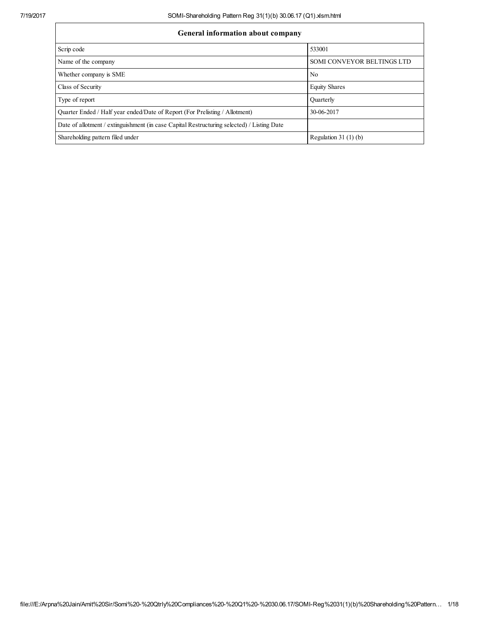## General information about

| General information about company                                                          |                            |  |  |  |  |  |  |
|--------------------------------------------------------------------------------------------|----------------------------|--|--|--|--|--|--|
| Scrip code                                                                                 | 533001                     |  |  |  |  |  |  |
| Name of the company                                                                        | SOMI CONVEYOR BELTINGS LTD |  |  |  |  |  |  |
| Whether company is SME                                                                     | N <sub>0</sub>             |  |  |  |  |  |  |
| Class of Security                                                                          | <b>Equity Shares</b>       |  |  |  |  |  |  |
| Type of report                                                                             | Ouarterly                  |  |  |  |  |  |  |
| Quarter Ended / Half year ended/Date of Report (For Prelisting / Allotment)                | 30-06-2017                 |  |  |  |  |  |  |
| Date of allotment / extinguishment (in case Capital Restructuring selected) / Listing Date |                            |  |  |  |  |  |  |
| Shareholding pattern filed under                                                           | Regulation $31(1)(b)$      |  |  |  |  |  |  |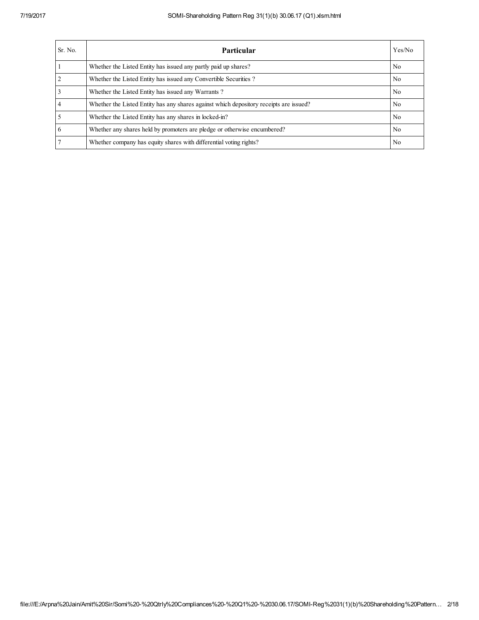| Sr. No. | Particular                                                                             | Yes/No |
|---------|----------------------------------------------------------------------------------------|--------|
|         | Whether the Listed Entity has issued any partly paid up shares?                        | No.    |
| 2       | Whether the Listed Entity has issued any Convertible Securities?                       | No.    |
|         | Whether the Listed Entity has issued any Warrants?                                     | No.    |
|         | Whether the Listed Entity has any shares against which depository receipts are issued? | No.    |
|         | Whether the Listed Entity has any shares in locked-in?                                 | No.    |
| 6       | Whether any shares held by promoters are pledge or otherwise encumbered?               | No     |
|         | Whether company has equity shares with differential voting rights?                     | No.    |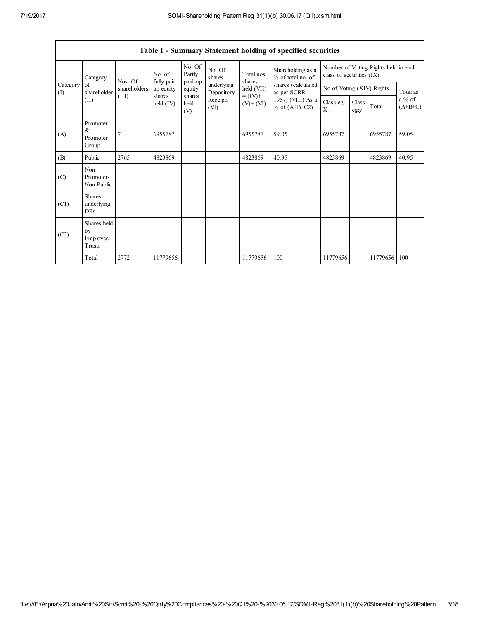Г

٦

|                 | Table I - Summary Statement holding of specified securities |                                                                                                                                |                      |                             |                          |                                                                                                                    |                           |                                                                  |  |          |       |
|-----------------|-------------------------------------------------------------|--------------------------------------------------------------------------------------------------------------------------------|----------------------|-----------------------------|--------------------------|--------------------------------------------------------------------------------------------------------------------|---------------------------|------------------------------------------------------------------|--|----------|-------|
|                 | Category                                                    | Nos. Of                                                                                                                        | No. of<br>fully paid | No. Of<br>Partly<br>paid-up | No. Of<br>shares         | Shareholding as a<br>Total nos.<br>% of total no. of<br>shares<br>shares (calculated<br>held (VII)<br>as per SCRR, |                           | Number of Voting Rights held in each<br>class of securities (IX) |  |          |       |
| Category<br>(I) | of<br>shareholder                                           | shareholders                                                                                                                   | up equity            | equity                      | underlying<br>Depository |                                                                                                                    | No of Voting (XIV) Rights |                                                                  |  | Total as |       |
|                 | (II)                                                        | (III)<br>shares<br>shares<br>$= (IV) +$<br>Receipts<br>held<br>held $(IV)$<br>$(V)$ + $(VI)$<br>% of $(A+B+C2)$<br>(VI)<br>(V) | 1957) (VIII) As a    | Class eg:<br>X              | Class<br>eg:y            | Total                                                                                                              | a % of<br>$(A+B+C)$       |                                                                  |  |          |       |
| (A)             | Promoter<br>&<br>Promoter<br>Group                          | 7                                                                                                                              | 6955787              |                             |                          | 6955787                                                                                                            | 59.05                     | 6955787                                                          |  | 6955787  | 59.05 |
| (B)             | Public                                                      | 2765                                                                                                                           | 4823869              |                             |                          | 4823869                                                                                                            | 40.95                     | 4823869                                                          |  | 4823869  | 40.95 |
| (C)             | Non<br>Promoter-<br>Non Public                              |                                                                                                                                |                      |                             |                          |                                                                                                                    |                           |                                                                  |  |          |       |
| (C1)            | <b>Shares</b><br>underlying<br><b>DRs</b>                   |                                                                                                                                |                      |                             |                          |                                                                                                                    |                           |                                                                  |  |          |       |
| (C2)            | Shares held<br>by<br>Employee<br>Trusts                     |                                                                                                                                |                      |                             |                          |                                                                                                                    |                           |                                                                  |  |          |       |
|                 | Total                                                       | 2772                                                                                                                           | 11779656             |                             |                          | 11779656                                                                                                           | 100                       | 11779656                                                         |  | 11779656 | 100   |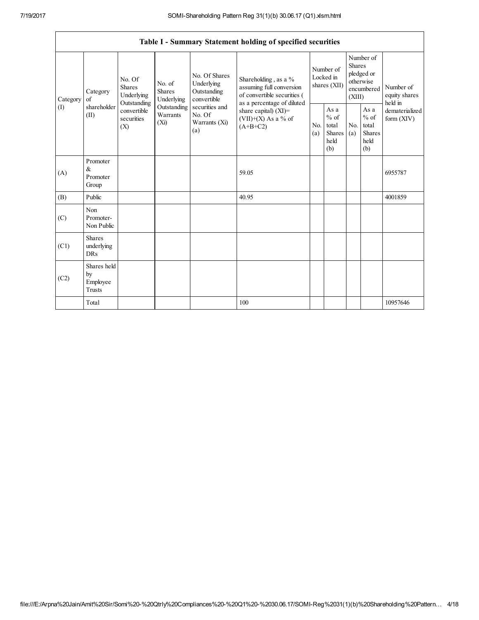|          | Table I - Summary Statement holding of specified securities |                                                                  |                                    |                                                                                                                                                                                                                                    |                                                         |                                        |                                                         |                                                                               |                                                         |                                       |
|----------|-------------------------------------------------------------|------------------------------------------------------------------|------------------------------------|------------------------------------------------------------------------------------------------------------------------------------------------------------------------------------------------------------------------------------|---------------------------------------------------------|----------------------------------------|---------------------------------------------------------|-------------------------------------------------------------------------------|---------------------------------------------------------|---------------------------------------|
| Category | Category<br>of                                              | No. Of<br>No. of<br><b>Shares</b><br><b>Shares</b><br>Underlying | Underlying                         | No. Of Shares<br>Shareholding, as a %<br>Underlying<br>Outstanding<br>convertible<br>as a percentage of diluted<br>securities and<br>share capital) (XI)=<br>No. Of<br>$(VII)+(X)$ As a % of<br>Warrants (Xi)<br>$(A+B+C2)$<br>(a) | assuming full conversion<br>of convertible securities ( | Number of<br>Locked in<br>shares (XII) |                                                         | Number of<br><b>Shares</b><br>pledged or<br>otherwise<br>encumbered<br>(XIII) |                                                         | Number of<br>equity shares<br>held in |
| (I)      | shareholder<br>(II)                                         | Outstanding<br>convertible<br>securities<br>(X)                  | Outstanding<br>Warrants<br>$(X_i)$ |                                                                                                                                                                                                                                    |                                                         | N <sub>0</sub><br>(a)                  | As a<br>$%$ of<br>total<br><b>Shares</b><br>held<br>(b) | No.<br>(a)                                                                    | As a<br>$%$ of<br>total<br><b>Shares</b><br>held<br>(b) | dematerialized<br>form $(XIV)$        |
| (A)      | Promoter<br>&<br>Promoter<br>Group                          |                                                                  |                                    |                                                                                                                                                                                                                                    | 59.05                                                   |                                        |                                                         |                                                                               |                                                         | 6955787                               |
| (B)      | Public                                                      |                                                                  |                                    |                                                                                                                                                                                                                                    | 40.95                                                   |                                        |                                                         |                                                                               |                                                         | 4001859                               |
| (C)      | Non<br>Promoter-<br>Non Public                              |                                                                  |                                    |                                                                                                                                                                                                                                    |                                                         |                                        |                                                         |                                                                               |                                                         |                                       |
| (C1)     | <b>Shares</b><br>underlying<br><b>DRs</b>                   |                                                                  |                                    |                                                                                                                                                                                                                                    |                                                         |                                        |                                                         |                                                                               |                                                         |                                       |
| (C2)     | Shares held<br>by<br>Employee<br><b>Trusts</b>              |                                                                  |                                    |                                                                                                                                                                                                                                    |                                                         |                                        |                                                         |                                                                               |                                                         |                                       |
|          | Total                                                       |                                                                  |                                    |                                                                                                                                                                                                                                    | 100                                                     |                                        |                                                         |                                                                               |                                                         | 10957646                              |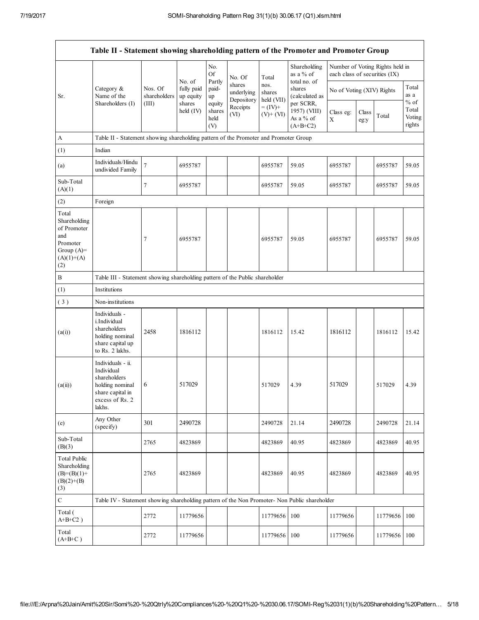|                                                                                                | Table II - Statement showing shareholding pattern of the Promoter and Promoter Group                                |                         |                                   |                                 |                                    |                              |                                                      |                                                                  |                           |          |                           |
|------------------------------------------------------------------------------------------------|---------------------------------------------------------------------------------------------------------------------|-------------------------|-----------------------------------|---------------------------------|------------------------------------|------------------------------|------------------------------------------------------|------------------------------------------------------------------|---------------------------|----------|---------------------------|
|                                                                                                |                                                                                                                     |                         |                                   | No.<br>Of                       | No. Of                             | Total                        | Shareholding<br>as a % of                            | Number of Voting Rights held in<br>each class of securities (IX) |                           |          |                           |
| Sr.                                                                                            | Category &<br>Name of the                                                                                           | Nos. Of<br>shareholders | No. of<br>fully paid<br>up equity | Partly<br>paid-<br>up           | shares<br>underlying<br>Depository | nos.<br>shares<br>held (VII) | total no. of<br>shares<br>(calculated as             |                                                                  | No of Voting (XIV) Rights |          | Total<br>as a<br>$\%$ of  |
|                                                                                                | Shareholders (I)                                                                                                    | (III)                   | shares<br>held $(IV)$             | equity<br>shares<br>held<br>(V) | Receipts<br>(VI)                   | $= (IV) +$<br>$(V)$ + $(VI)$ | per SCRR,<br>1957) (VIII)<br>As a % of<br>$(A+B+C2)$ | Class eg:<br>X                                                   | Class<br>eg:y             | Total    | Total<br>Voting<br>rights |
| A                                                                                              | Table II - Statement showing shareholding pattern of the Promoter and Promoter Group                                |                         |                                   |                                 |                                    |                              |                                                      |                                                                  |                           |          |                           |
| (1)                                                                                            | Indian                                                                                                              |                         |                                   |                                 |                                    |                              |                                                      |                                                                  |                           |          |                           |
| (a)                                                                                            | Individuals/Hindu<br>undivided Family                                                                               | $\overline{7}$          | 6955787                           |                                 |                                    | 6955787                      | 59.05                                                | 6955787                                                          |                           | 6955787  | 59.05                     |
| Sub-Total<br>(A)(1)                                                                            |                                                                                                                     | 7                       | 6955787                           |                                 |                                    | 6955787                      | 59.05                                                | 6955787                                                          |                           | 6955787  | 59.05                     |
| (2)                                                                                            | Foreign                                                                                                             |                         |                                   |                                 |                                    |                              |                                                      |                                                                  |                           |          |                           |
| Total<br>Shareholding<br>of Promoter<br>and<br>Promoter<br>Group $(A)=$<br>$(A)(1)+(A)$<br>(2) |                                                                                                                     | 7                       | 6955787                           |                                 |                                    | 6955787                      | 59.05                                                | 6955787                                                          |                           | 6955787  | 59.05                     |
| $\, {\bf B}$                                                                                   | Table III - Statement showing shareholding pattern of the Public shareholder                                        |                         |                                   |                                 |                                    |                              |                                                      |                                                                  |                           |          |                           |
| (1)                                                                                            | Institutions                                                                                                        |                         |                                   |                                 |                                    |                              |                                                      |                                                                  |                           |          |                           |
| (3)                                                                                            | Non-institutions                                                                                                    |                         |                                   |                                 |                                    |                              |                                                      |                                                                  |                           |          |                           |
| (a(i))                                                                                         | Individuals -<br>i.Individual<br>shareholders<br>holding nominal<br>share capital up<br>to Rs. 2 lakhs.             | 2458                    | 1816112                           |                                 |                                    | 1816112                      | 15.42                                                | 1816112                                                          |                           | 1816112  | 15.42                     |
| (a(ii))                                                                                        | Individuals - ii.<br>Individual<br>shareholders<br>holding nominal<br>share capital in<br>excess of Rs. 2<br>lakhs. | 6                       | 517029                            |                                 |                                    | 517029                       | 4.39                                                 | 517029                                                           |                           | 517029   | 4.39                      |
| (e)                                                                                            | Any Other<br>(specify)                                                                                              | 301                     | 2490728                           |                                 |                                    | 2490728                      | 21.14                                                | 2490728                                                          |                           | 2490728  | 21.14                     |
| Sub-Total<br>(B)(3)                                                                            |                                                                                                                     | 2765                    | 4823869                           |                                 |                                    | 4823869                      | 40.95                                                | 4823869                                                          |                           | 4823869  | 40.95                     |
| <b>Total Public</b><br>Shareholding<br>$(B)=(B)(1)+$<br>$(B)(2)+(B)$<br>(3)                    |                                                                                                                     | 2765                    | 4823869                           |                                 |                                    | 4823869                      | 40.95                                                | 4823869                                                          |                           | 4823869  | 40.95                     |
| $\mathbf C$                                                                                    | Table IV - Statement showing shareholding pattern of the Non Promoter- Non Public shareholder                       |                         |                                   |                                 |                                    |                              |                                                      |                                                                  |                           |          |                           |
| Total (<br>$A+B+C2$ )                                                                          |                                                                                                                     | 2772                    | 11779656                          |                                 |                                    | 11779656                     | 100                                                  | 11779656                                                         |                           | 11779656 | 100                       |
| Total<br>$(A+B+C)$                                                                             |                                                                                                                     | 2772                    | 11779656                          |                                 |                                    | 11779656                     | 100                                                  | 11779656                                                         |                           | 11779656 | 100                       |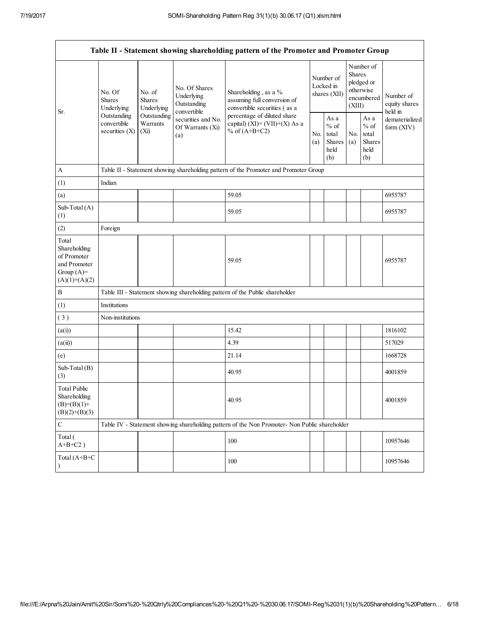|                                                                                         | Table II - Statement showing shareholding pattern of the Promoter and Promoter Group |                                                                                                                                                                          |                                                           |                                                                                               |                                        |                                                  |                                                                        |  |                                       |
|-----------------------------------------------------------------------------------------|--------------------------------------------------------------------------------------|--------------------------------------------------------------------------------------------------------------------------------------------------------------------------|-----------------------------------------------------------|-----------------------------------------------------------------------------------------------|----------------------------------------|--------------------------------------------------|------------------------------------------------------------------------|--|---------------------------------------|
|                                                                                         | No. Of<br><b>Shares</b><br>Underlying                                                | No. of<br><b>Shares</b><br>Underlying                                                                                                                                    | No. Of Shares<br>Underlying<br>Outstanding<br>convertible | Shareholding, as a %<br>assuming full conversion of<br>convertible securities (as a           | Number of<br>Locked in<br>shares (XII) |                                                  | Number of<br>Shares<br>pledged or<br>otherwise<br>encumbered<br>(XIII) |  | Number of<br>equity shares<br>held in |
| Sr.                                                                                     | Outstanding<br>convertible<br>securities $(X)$                                       | Outstanding<br>percentage of diluted share<br>securities and No.<br>Warrants<br>capital) (XI)= $(VII)+(X)$ As a<br>Of Warrants (Xi)<br>% of $(A+B+C2)$<br>$(X_i)$<br>(a) | No.<br>(a)                                                | As a<br>$\%$ of<br>total<br>Shares<br>held<br>(b)                                             | No.<br>(a)                             | As a<br>$%$ of<br>total<br>Shares<br>held<br>(b) | dematerialized<br>form (XIV)                                           |  |                                       |
| A                                                                                       |                                                                                      |                                                                                                                                                                          |                                                           | Table II - Statement showing shareholding pattern of the Promoter and Promoter Group          |                                        |                                                  |                                                                        |  |                                       |
| (1)                                                                                     | Indian                                                                               |                                                                                                                                                                          |                                                           |                                                                                               |                                        |                                                  |                                                                        |  |                                       |
| (a)                                                                                     |                                                                                      |                                                                                                                                                                          |                                                           | 59.05                                                                                         |                                        |                                                  |                                                                        |  | 6955787                               |
| Sub-Total (A)<br>(1)                                                                    |                                                                                      |                                                                                                                                                                          |                                                           | 59.05                                                                                         |                                        |                                                  |                                                                        |  | 6955787                               |
| (2)                                                                                     | Foreign                                                                              |                                                                                                                                                                          |                                                           |                                                                                               |                                        |                                                  |                                                                        |  |                                       |
| Total<br>Shareholding<br>of Promoter<br>and Promoter<br>Group $(A)=$<br>$(A)(1)+(A)(2)$ |                                                                                      |                                                                                                                                                                          |                                                           | 59.05                                                                                         |                                        |                                                  |                                                                        |  | 6955787                               |
| B                                                                                       |                                                                                      |                                                                                                                                                                          |                                                           | Table III - Statement showing shareholding pattern of the Public shareholder                  |                                        |                                                  |                                                                        |  |                                       |
| (1)                                                                                     | Institutions                                                                         |                                                                                                                                                                          |                                                           |                                                                                               |                                        |                                                  |                                                                        |  |                                       |
| (3)                                                                                     | Non-institutions                                                                     |                                                                                                                                                                          |                                                           |                                                                                               |                                        |                                                  |                                                                        |  |                                       |
| (a(i))                                                                                  |                                                                                      |                                                                                                                                                                          |                                                           | 15.42                                                                                         |                                        |                                                  |                                                                        |  | 1816102                               |
| (a(ii))                                                                                 |                                                                                      |                                                                                                                                                                          |                                                           | 4.39                                                                                          |                                        |                                                  |                                                                        |  | 517029                                |
| (e)                                                                                     |                                                                                      |                                                                                                                                                                          |                                                           | 21.14                                                                                         |                                        |                                                  |                                                                        |  | 1668728                               |
| Sub-Total (B)<br>(3)                                                                    |                                                                                      |                                                                                                                                                                          |                                                           | 40.95                                                                                         |                                        |                                                  |                                                                        |  | 4001859                               |
| <b>Total Public</b><br>Shareholding<br>$(B)= (B)(1) +$<br>$(B)(2)+(B)(3)$               |                                                                                      |                                                                                                                                                                          |                                                           | 40.95                                                                                         |                                        |                                                  |                                                                        |  | 4001859                               |
| $\mathbf C$                                                                             |                                                                                      |                                                                                                                                                                          |                                                           | Table IV - Statement showing shareholding pattern of the Non Promoter- Non Public shareholder |                                        |                                                  |                                                                        |  |                                       |
| Total (<br>$A+B+C2$ )                                                                   |                                                                                      |                                                                                                                                                                          |                                                           | 100                                                                                           |                                        |                                                  |                                                                        |  | 10957646                              |
| Total (A+B+C                                                                            |                                                                                      |                                                                                                                                                                          |                                                           | 100                                                                                           |                                        |                                                  |                                                                        |  | 10957646                              |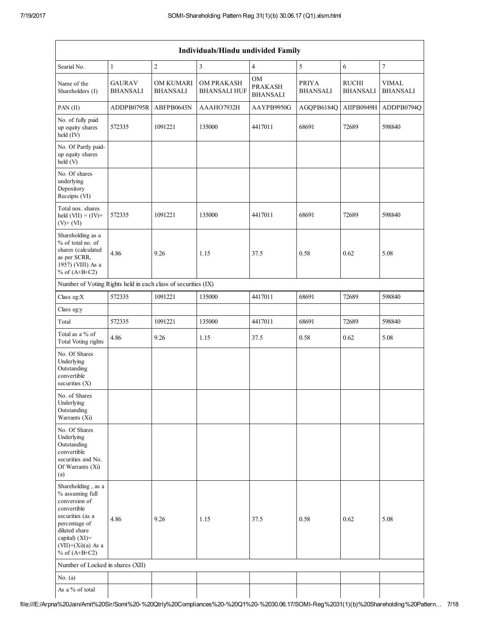| Individuals/Hindu undivided Family                                                                                                                                                          |                                  |                                     |                                          |                                                |                                 |                          |                                 |  |
|---------------------------------------------------------------------------------------------------------------------------------------------------------------------------------------------|----------------------------------|-------------------------------------|------------------------------------------|------------------------------------------------|---------------------------------|--------------------------|---------------------------------|--|
| Searial No.                                                                                                                                                                                 | $\mathbf{1}$                     | $\sqrt{2}$                          | 3                                        | $\overline{4}$                                 | 5                               | 6                        | $\overline{7}$                  |  |
| Name of the<br>Shareholders (I)                                                                                                                                                             | <b>GAURAV</b><br><b>BHANSALI</b> | <b>OM KUMARI</b><br><b>BHANSALI</b> | <b>OM PRAKASH</b><br><b>BHANSALI HUF</b> | <b>OM</b><br><b>PRAKASH</b><br><b>BHANSALI</b> | <b>PRIYA</b><br><b>BHANSALI</b> | RUCHI<br><b>BHANSALI</b> | <b>VIMAL</b><br><b>BHANSALI</b> |  |
| $PAN$ (II)                                                                                                                                                                                  | ADDPB0795R                       | ABFPB0643N                          | AAAHO7932H                               | AAYPB9950G                                     | AGQPB6184Q                      | AIIPB0949H               | ADDPB0794Q                      |  |
| No. of fully paid<br>up equity shares<br>held (IV)                                                                                                                                          | 572335                           | 1091221                             | 135000                                   | 4417011                                        | 68691                           | 72689                    | 598840                          |  |
| No. Of Partly paid-<br>up equity shares<br>$\text{held}$ (V)                                                                                                                                |                                  |                                     |                                          |                                                |                                 |                          |                                 |  |
| No. Of shares<br>underlying<br>Depository<br>Receipts (VI)                                                                                                                                  |                                  |                                     |                                          |                                                |                                 |                          |                                 |  |
| Total nos. shares<br>held $(VII) = (IV) +$<br>$(V)$ + $(VI)$                                                                                                                                | 572335                           | 1091221                             | 135000                                   | 4417011                                        | 68691                           | 72689                    | 598840                          |  |
| Shareholding as a<br>% of total no. of<br>shares (calculated<br>as per SCRR,<br>1957) (VIII) As a<br>% of $(A+B+C2)$                                                                        | 4.86                             | 9.26                                | 1.15                                     | 37.5                                           | 0.58                            | 0.62                     | 5.08                            |  |
| Number of Voting Rights held in each class of securities (IX)                                                                                                                               |                                  |                                     |                                          |                                                |                                 |                          |                                 |  |
| Class eg:X                                                                                                                                                                                  | 572335                           | 1091221                             | 135000                                   | 4417011                                        | 68691                           | 72689                    | 598840                          |  |
| Class eg:y                                                                                                                                                                                  |                                  |                                     |                                          |                                                |                                 |                          |                                 |  |
| Total                                                                                                                                                                                       | 572335                           | 1091221                             | 135000                                   | 4417011                                        | 68691                           | 72689                    | 598840                          |  |
| Total as a % of<br><b>Total Voting rights</b>                                                                                                                                               | 4.86                             | 9.26                                | 1.15                                     | 37.5                                           | 0.58                            | 0.62                     | 5.08                            |  |
| No. Of Shares<br>Underlying<br>Outstanding<br>convertible<br>securities $(X)$                                                                                                               |                                  |                                     |                                          |                                                |                                 |                          |                                 |  |
| No. of Shares<br>Underlying<br>Outstanding<br>Warrants (Xi)                                                                                                                                 |                                  |                                     |                                          |                                                |                                 |                          |                                 |  |
| No. Of Shares<br>Underlying<br>Outstanding<br>convertible<br>securities and No.<br>Of Warrants (Xi)<br>(a)                                                                                  |                                  |                                     |                                          |                                                |                                 |                          |                                 |  |
| Shareholding, as a<br>% assuming full<br>conversion of<br>convertible<br>securities (as a<br>percentage of<br>diluted share<br>capital) $(XI)$ =<br>$(VII)+(Xi)(a)$ As a<br>% of $(A+B+C2)$ | 4.86                             | 9.26                                | 1.15                                     | 37.5                                           | 0.58                            | 0.62                     | 5.08                            |  |
| Number of Locked in shares (XII)                                                                                                                                                            |                                  |                                     |                                          |                                                |                                 |                          |                                 |  |
| No. $(a)$                                                                                                                                                                                   |                                  |                                     |                                          |                                                |                                 |                          |                                 |  |
| As a % of total                                                                                                                                                                             |                                  |                                     |                                          |                                                |                                 |                          |                                 |  |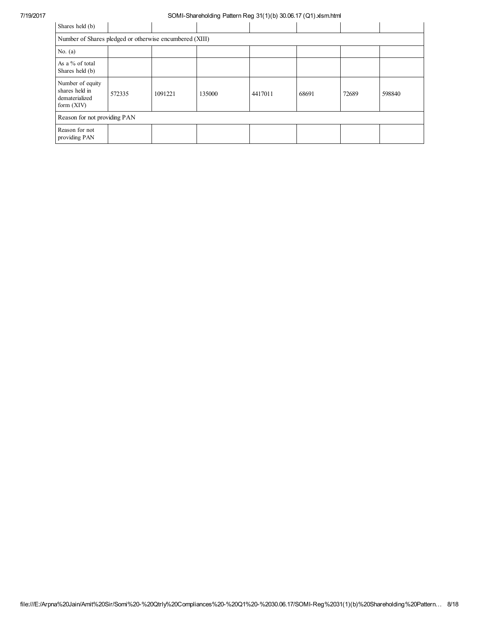| Shares held (b)                                                      |        |         |        |         |       |       |        |
|----------------------------------------------------------------------|--------|---------|--------|---------|-------|-------|--------|
| Number of Shares pledged or otherwise encumbered (XIII)              |        |         |        |         |       |       |        |
| No. $(a)$                                                            |        |         |        |         |       |       |        |
| As a % of total<br>Shares held (b)                                   |        |         |        |         |       |       |        |
| Number of equity<br>shares held in<br>dematerialized<br>form $(XIV)$ | 572335 | 1091221 | 135000 | 4417011 | 68691 | 72689 | 598840 |
| Reason for not providing PAN                                         |        |         |        |         |       |       |        |
| Reason for not<br>providing PAN                                      |        |         |        |         |       |       |        |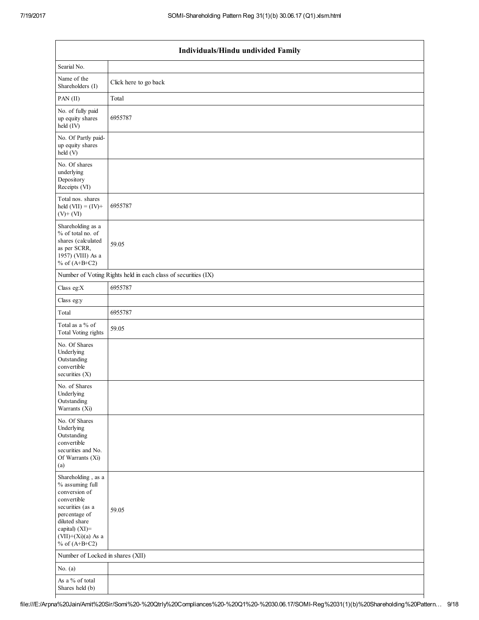| Individuals/Hindu undivided Family                                                                                                                                                       |                                                               |  |  |  |  |  |
|------------------------------------------------------------------------------------------------------------------------------------------------------------------------------------------|---------------------------------------------------------------|--|--|--|--|--|
| Searial No.                                                                                                                                                                              |                                                               |  |  |  |  |  |
| Name of the<br>Shareholders (I)                                                                                                                                                          | Click here to go back                                         |  |  |  |  |  |
| PAN (II)                                                                                                                                                                                 | Total                                                         |  |  |  |  |  |
| No. of fully paid<br>up equity shares<br>held $(IV)$                                                                                                                                     | 6955787                                                       |  |  |  |  |  |
| No. Of Partly paid-<br>up equity shares<br>held (V)                                                                                                                                      |                                                               |  |  |  |  |  |
| No. Of shares<br>underlying<br>Depository<br>Receipts (VI)                                                                                                                               |                                                               |  |  |  |  |  |
| Total nos. shares<br>held $(VII) = (IV) +$<br>$(V)$ + $(VI)$                                                                                                                             | 6955787                                                       |  |  |  |  |  |
| Shareholding as a<br>% of total no. of<br>shares (calculated<br>as per SCRR,<br>1957) (VIII) As a<br>% of $(A+B+C2)$                                                                     | 59.05                                                         |  |  |  |  |  |
|                                                                                                                                                                                          | Number of Voting Rights held in each class of securities (IX) |  |  |  |  |  |
| Class eg: $X$                                                                                                                                                                            | 6955787                                                       |  |  |  |  |  |
| Class eg:y                                                                                                                                                                               |                                                               |  |  |  |  |  |
| Total                                                                                                                                                                                    | 6955787                                                       |  |  |  |  |  |
| Total as a % of<br>Total Voting rights                                                                                                                                                   | 59.05                                                         |  |  |  |  |  |
| No. Of Shares<br>Underlying<br>Outstanding<br>convertible<br>securities (X)                                                                                                              |                                                               |  |  |  |  |  |
| No. of Shares<br>Underlying<br>Outstanding<br>Warrants (Xi)                                                                                                                              |                                                               |  |  |  |  |  |
| No. Of Shares<br>Underlying<br>Outstanding<br>convertible<br>securities and No.<br>Of Warrants (Xi)<br>(a)                                                                               |                                                               |  |  |  |  |  |
| Shareholding, as a<br>% assuming full<br>conversion of<br>convertible<br>securities (as a<br>percentage of<br>diluted share<br>capital) (XI)=<br>$(VII)+(Xi)(a)$ As a<br>% of $(A+B+C2)$ | 59.05                                                         |  |  |  |  |  |
| Number of Locked in shares (XII)                                                                                                                                                         |                                                               |  |  |  |  |  |
| No. $(a)$                                                                                                                                                                                |                                                               |  |  |  |  |  |
| As a % of total<br>Shares held (b)                                                                                                                                                       |                                                               |  |  |  |  |  |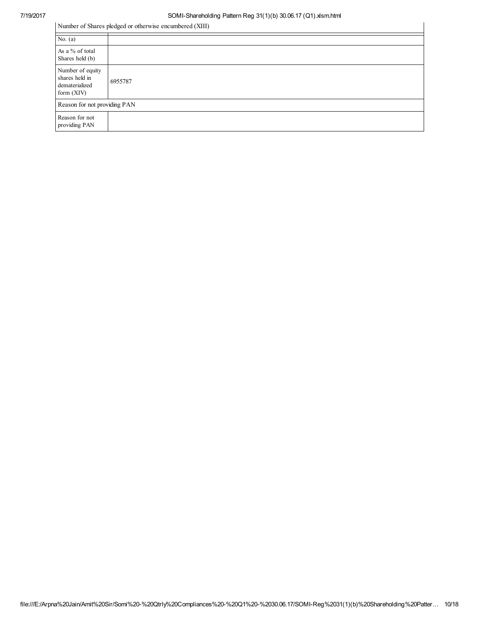| Number of Shares pledged or otherwise encumbered (XIII)              |         |  |  |  |
|----------------------------------------------------------------------|---------|--|--|--|
| No. $(a)$                                                            |         |  |  |  |
| As a % of total<br>Shares held (b)                                   |         |  |  |  |
| Number of equity<br>shares held in<br>dematerialized<br>form $(XIV)$ | 6955787 |  |  |  |
| Reason for not providing PAN                                         |         |  |  |  |
| Reason for not<br>providing PAN                                      |         |  |  |  |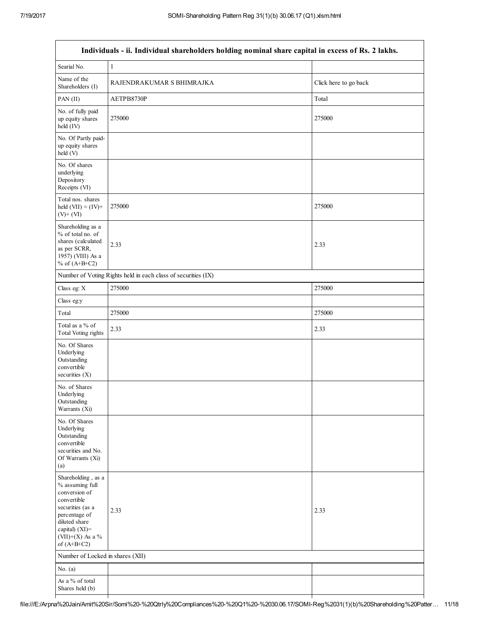|                                                                                                                                                                                    | Individuals - ii. Individual shareholders holding nominal share capital in excess of Rs. 2 lakhs. |                       |
|------------------------------------------------------------------------------------------------------------------------------------------------------------------------------------|---------------------------------------------------------------------------------------------------|-----------------------|
| Searial No.                                                                                                                                                                        | 1                                                                                                 |                       |
| Name of the<br>Shareholders (I)                                                                                                                                                    | RAJENDRAKUMAR S BHIMRAJKA                                                                         | Click here to go back |
| PAN(II)                                                                                                                                                                            | AETPB8730P                                                                                        | Total                 |
| No. of fully paid<br>up equity shares<br>held (IV)                                                                                                                                 | 275000                                                                                            | 275000                |
| No. Of Partly paid-<br>up equity shares<br>held (V)                                                                                                                                |                                                                                                   |                       |
| No. Of shares<br>underlying<br>Depository<br>Receipts (VI)                                                                                                                         |                                                                                                   |                       |
| Total nos. shares<br>held $(VII) = (IV) +$<br>$(V)$ + $(VI)$                                                                                                                       | 275000                                                                                            | 275000                |
| Shareholding as a<br>% of total no. of<br>shares (calculated<br>as per SCRR,<br>1957) (VIII) As a<br>% of $(A+B+C2)$                                                               | 2.33                                                                                              | 2.33                  |
|                                                                                                                                                                                    | Number of Voting Rights held in each class of securities (IX)                                     |                       |
| Class eg: X                                                                                                                                                                        | 275000                                                                                            | 275000                |
| Class eg:y                                                                                                                                                                         |                                                                                                   |                       |
| Total                                                                                                                                                                              | 275000                                                                                            | 275000                |
| Total as a % of<br><b>Total Voting rights</b>                                                                                                                                      | 2.33                                                                                              | 2.33                  |
| No. Of Shares<br>Underlying<br>Outstanding<br>convertible<br>securities $(X)$                                                                                                      |                                                                                                   |                       |
| No. of Shares<br>Underlying<br>Outstanding<br>Warrants (Xi)                                                                                                                        |                                                                                                   |                       |
| No. Of Shares<br>Underlying<br>Outstanding<br>convertible<br>securities and No.<br>Of Warrants (Xi)<br>(a)                                                                         |                                                                                                   |                       |
| Shareholding, as a<br>% assuming full<br>conversion of<br>convertible<br>securities (as a<br>percentage of<br>diluted share<br>capital) (XI)=<br>(VII)+(X) As a %<br>of $(A+B+C2)$ | 2.33                                                                                              | 2.33                  |
| Number of Locked in shares (XII)                                                                                                                                                   |                                                                                                   |                       |
| No. $(a)$                                                                                                                                                                          |                                                                                                   |                       |
| As a % of total<br>Shares held (b)                                                                                                                                                 |                                                                                                   |                       |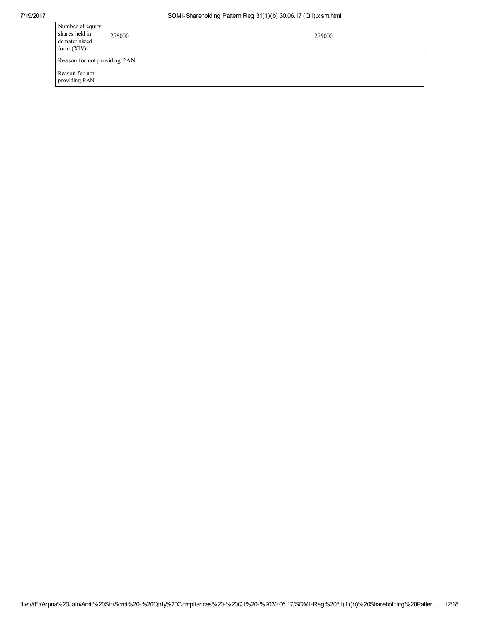| Number of equity<br>shares held in<br>dematerialized<br>form $(XIV)$ | 275000 | 275000 |
|----------------------------------------------------------------------|--------|--------|
| Reason for not providing PAN                                         |        |        |
| Reason for not<br>providing PAN                                      |        |        |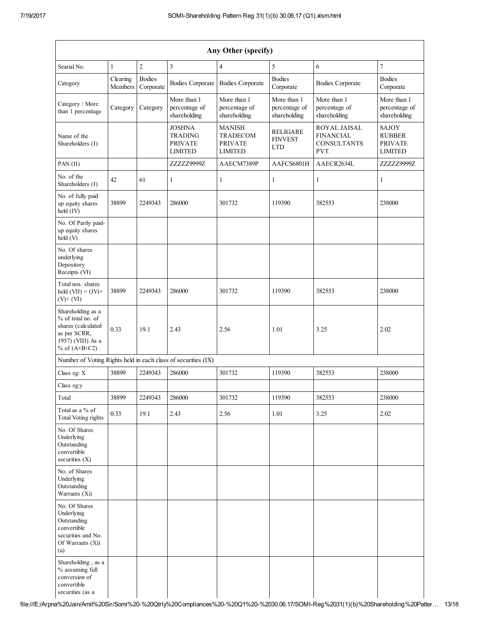| Any Other (specify)                                                                                                  |                     |                            |                                                                     |                                                                      |                                                 |                                                                |                                                            |
|----------------------------------------------------------------------------------------------------------------------|---------------------|----------------------------|---------------------------------------------------------------------|----------------------------------------------------------------------|-------------------------------------------------|----------------------------------------------------------------|------------------------------------------------------------|
| Searial No.                                                                                                          | 1                   | $\boldsymbol{2}$           | $\overline{3}$                                                      | $\overline{4}$                                                       | 5                                               | 6                                                              | $\overline{7}$                                             |
| Category                                                                                                             | Clearing<br>Members | <b>Bodies</b><br>Corporate | <b>Bodies Corporate</b>                                             | <b>Bodies Corporate</b>                                              | <b>Bodies</b><br>Corporate                      | <b>Bodies Corporate</b>                                        | <b>Bodies</b><br>Corporate                                 |
| Category / More<br>than 1 percentage                                                                                 | Category            | Category                   | More than 1<br>percentage of<br>shareholding                        | More than 1<br>percentage of<br>shareholding                         | More than 1<br>percentage of<br>shareholding    | More than 1<br>percentage of<br>shareholding                   | More than 1<br>percentage of<br>shareholding               |
| Name of the<br>Shareholders (I)                                                                                      |                     |                            | <b>JOSHNA</b><br><b>TRADING</b><br><b>PRIVATE</b><br><b>LIMITED</b> | <b>MANISH</b><br><b>TRADECOM</b><br><b>PRIVATE</b><br><b>LIMITED</b> | <b>RELIGARE</b><br><b>FINVEST</b><br><b>LTD</b> | ROYAL JAISAL<br><b>FINANCIAL</b><br><b>CONSULTANTS</b><br>PVT. | SAJOY<br><b>RUBBER</b><br><b>PRIVATE</b><br><b>LIMITED</b> |
| PAN(II)                                                                                                              |                     |                            | ZZZZZ9999Z                                                          | AAECM7389P                                                           | AAFCS6801H                                      | AAECR2634L                                                     | ZZZZZ9999Z                                                 |
| No. of the<br>Shareholders (I)                                                                                       | 42                  | 61                         | $\mathbf{1}$                                                        | 1                                                                    | 1                                               | 1                                                              | $\mathbf{1}$                                               |
| No. of fully paid<br>up equity shares<br>held (IV)                                                                   | 38899               | 2249343                    | 286000                                                              | 301732                                                               | 119390                                          | 382553                                                         | 238000                                                     |
| No. Of Partly paid-<br>up equity shares<br>held (V)                                                                  |                     |                            |                                                                     |                                                                      |                                                 |                                                                |                                                            |
| No. Of shares<br>underlying<br>Depository<br>Receipts (VI)                                                           |                     |                            |                                                                     |                                                                      |                                                 |                                                                |                                                            |
| Total nos. shares<br>held $(VII) = (IV) +$<br>$(V)$ + $(VI)$                                                         | 38899               | 2249343                    | 286000                                                              | 301732                                                               | 119390                                          | 382553                                                         | 238000                                                     |
| Shareholding as a<br>% of total no. of<br>shares (calculated<br>as per SCRR,<br>1957) (VIII) As a<br>% of $(A+B+C2)$ | 0.33                | 19.1                       | 2.43                                                                | 2.56                                                                 | 1.01                                            | 3.25                                                           | 2.02                                                       |
| Number of Voting Rights held in each class of securities (IX)                                                        |                     |                            |                                                                     |                                                                      |                                                 |                                                                |                                                            |
| Class eg: X                                                                                                          | 38899               | 2249343                    | 286000                                                              | 301732                                                               | 119390                                          | 382553                                                         | 238000                                                     |
| Class eg:y                                                                                                           |                     |                            |                                                                     |                                                                      |                                                 |                                                                |                                                            |
| Total                                                                                                                | 38899               | 2249343                    | 286000                                                              | 301732                                                               | 119390                                          | 382553                                                         | 238000                                                     |
| Total as a % of<br><b>Total Voting rights</b>                                                                        | 0.33                | 19.1                       | 2.43                                                                | 2.56                                                                 | 1.01                                            | 3.25                                                           | 2.02                                                       |
| No. Of Shares<br>Underlying<br>Outstanding<br>convertible<br>securities $(X)$                                        |                     |                            |                                                                     |                                                                      |                                                 |                                                                |                                                            |
| No. of Shares<br>Underlying<br>Outstanding<br>Warrants (Xi)                                                          |                     |                            |                                                                     |                                                                      |                                                 |                                                                |                                                            |
| No. Of Shares<br>Underlying<br>Outstanding<br>convertible<br>securities and No.<br>Of Warrants (Xi)<br>(a)           |                     |                            |                                                                     |                                                                      |                                                 |                                                                |                                                            |
| Shareholding, as a<br>% assuming full<br>conversion of<br>convertible<br>securities (as a                            |                     |                            |                                                                     |                                                                      |                                                 |                                                                |                                                            |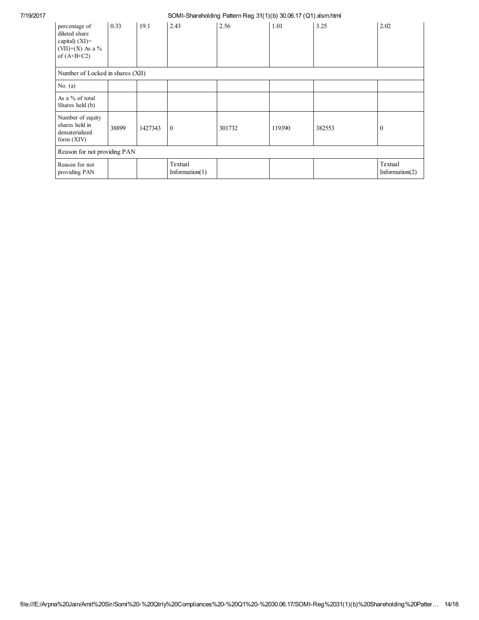| percentage of<br>diluted share<br>capital) $(XI)$ =<br>(VII)+(X) As a %<br>of $(A+B+C2)$ | 0.33  | 19.1    | 2.43                         | 2.56   | 1.01   | 3.25   | 2.02                         |
|------------------------------------------------------------------------------------------|-------|---------|------------------------------|--------|--------|--------|------------------------------|
| Number of Locked in shares (XII)                                                         |       |         |                              |        |        |        |                              |
| No. $(a)$                                                                                |       |         |                              |        |        |        |                              |
| As a % of total<br>Shares held (b)                                                       |       |         |                              |        |        |        |                              |
| Number of equity<br>shares held in<br>dematerialized<br>form $(XIV)$                     | 38899 | 1427343 | $\theta$                     | 301732 | 119390 | 382553 | $\boldsymbol{0}$             |
| Reason for not providing PAN                                                             |       |         |                              |        |        |        |                              |
| Reason for not<br>providing PAN                                                          |       |         | Textual<br>Information $(1)$ |        |        |        | Textual<br>Information $(2)$ |
|                                                                                          |       |         |                              |        |        |        |                              |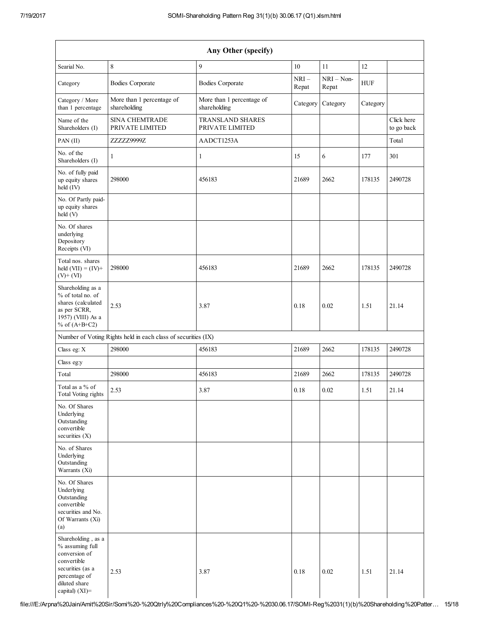| Any Other (specify)                                                                                                                              |                                                               |                                            |                 |                       |            |                          |
|--------------------------------------------------------------------------------------------------------------------------------------------------|---------------------------------------------------------------|--------------------------------------------|-----------------|-----------------------|------------|--------------------------|
| Searial No.                                                                                                                                      | 8                                                             | 9                                          | $10\,$          | 11                    | 12         |                          |
| Category                                                                                                                                         | <b>Bodies Corporate</b>                                       | <b>Bodies Corporate</b>                    | $NRI-$<br>Repat | $NRI - Non-$<br>Repat | <b>HUF</b> |                          |
| Category / More<br>than 1 percentage                                                                                                             | More than 1 percentage of<br>shareholding                     | More than 1 percentage of<br>shareholding  | Category        | Category              | Category   |                          |
| Name of the<br>Shareholders (I)                                                                                                                  | <b>SINA CHEMTRADE</b><br>PRIVATE LIMITED                      | <b>TRANSLAND SHARES</b><br>PRIVATE LIMITED |                 |                       |            | Click here<br>to go back |
| PAN (II)                                                                                                                                         | ZZZZZ9999Z                                                    | AADCT1253A                                 |                 |                       |            | Total                    |
| No. of the<br>Shareholders (I)                                                                                                                   | $\mathbf{1}$                                                  | $\mathbf{1}$                               | 15              | 6                     | 177        | 301                      |
| No. of fully paid<br>up equity shares<br>held (IV)                                                                                               | 298000                                                        | 456183                                     | 21689           | 2662                  | 178135     | 2490728                  |
| No. Of Partly paid-<br>up equity shares<br>held (V)                                                                                              |                                                               |                                            |                 |                       |            |                          |
| No. Of shares<br>underlying<br>Depository<br>Receipts (VI)                                                                                       |                                                               |                                            |                 |                       |            |                          |
| Total nos. shares<br>held $(VII) = (IV) +$<br>$(V)$ + $(VI)$                                                                                     | 298000                                                        | 456183                                     | 21689           | 2662                  | 178135     | 2490728                  |
| Shareholding as a<br>% of total no. of<br>shares (calculated<br>as per SCRR,<br>1957) (VIII) As a<br>% of $(A+B+C2)$                             | 2.53                                                          | 3.87                                       | 0.18            | 0.02                  | 1.51       | 21.14                    |
|                                                                                                                                                  | Number of Voting Rights held in each class of securities (IX) |                                            |                 |                       |            |                          |
| Class eg: X                                                                                                                                      | 298000                                                        | 456183                                     | 21689           | 2662                  | 178135     | 2490728                  |
| Class eg:y                                                                                                                                       |                                                               |                                            |                 |                       |            |                          |
| Total                                                                                                                                            | 298000                                                        | 456183                                     | 21689           | 2662                  | 178135     | 2490728                  |
| Total as a % of<br><b>Total Voting rights</b>                                                                                                    | 2.53                                                          | 3.87                                       | $0.18\,$        | 0.02                  | 1.51       | 21.14                    |
| No. Of Shares<br>Underlying<br>Outstanding<br>convertible<br>securities $(X)$                                                                    |                                                               |                                            |                 |                       |            |                          |
| No. of Shares<br>Underlying<br>Outstanding<br>Warrants (Xi)                                                                                      |                                                               |                                            |                 |                       |            |                          |
| No. Of Shares<br>Underlying<br>Outstanding<br>convertible<br>securities and No.<br>Of Warrants (Xi)<br>(a)                                       |                                                               |                                            |                 |                       |            |                          |
| Shareholding, as a<br>% assuming full<br>conversion of<br>convertible<br>securities (as a<br>percentage of<br>diluted share<br>capital) $(XI)$ = | 2.53                                                          | 3.87                                       | 0.18            | 0.02                  | 1.51       | 21.14                    |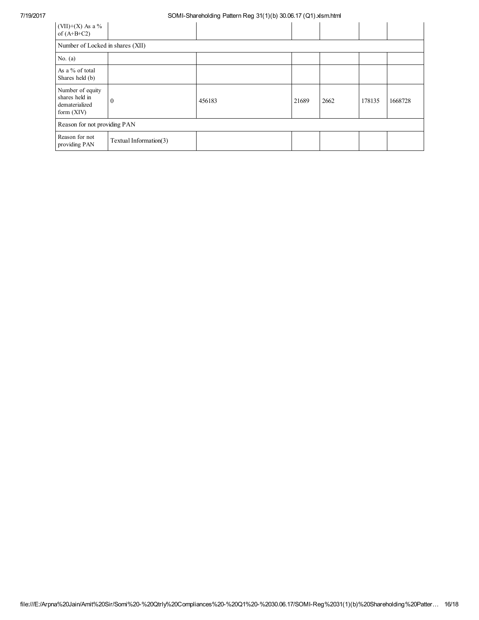| (VII)+(X) As a %<br>of $(A+B+C2)$                                    |                        |        |       |      |        |         |
|----------------------------------------------------------------------|------------------------|--------|-------|------|--------|---------|
| Number of Locked in shares (XII)                                     |                        |        |       |      |        |         |
| No. $(a)$                                                            |                        |        |       |      |        |         |
| As a % of total<br>Shares held (b)                                   |                        |        |       |      |        |         |
| Number of equity<br>shares held in<br>dematerialized<br>form $(XIV)$ | 0                      | 456183 | 21689 | 2662 | 178135 | 1668728 |
| Reason for not providing PAN                                         |                        |        |       |      |        |         |
| Reason for not<br>providing PAN                                      | Textual Information(3) |        |       |      |        |         |